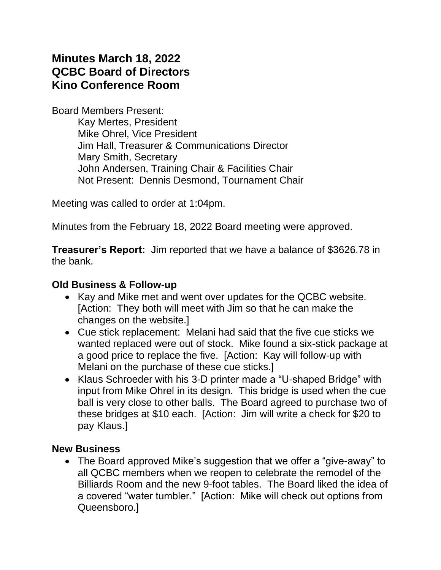# **Minutes March 18, 2022 QCBC Board of Directors Kino Conference Room**

Board Members Present:

Kay Mertes, President Mike Ohrel, Vice President Jim Hall, Treasurer & Communications Director Mary Smith, Secretary John Andersen, Training Chair & Facilities Chair Not Present: Dennis Desmond, Tournament Chair

Meeting was called to order at 1:04pm.

Minutes from the February 18, 2022 Board meeting were approved.

**Treasurer's Report:** Jim reported that we have a balance of \$3626.78 in the bank.

#### **Old Business & Follow-up**

- Kay and Mike met and went over updates for the QCBC website. [Action: They both will meet with Jim so that he can make the changes on the website.]
- Cue stick replacement: Melani had said that the five cue sticks we wanted replaced were out of stock. Mike found a six-stick package at a good price to replace the five. [Action: Kay will follow-up with Melani on the purchase of these cue sticks.]
- Klaus Schroeder with his 3-D printer made a "U-shaped Bridge" with input from Mike Ohrel in its design. This bridge is used when the cue ball is very close to other balls. The Board agreed to purchase two of these bridges at \$10 each. [Action: Jim will write a check for \$20 to pay Klaus.]

### **New Business**

• The Board approved Mike's suggestion that we offer a "give-away" to all QCBC members when we reopen to celebrate the remodel of the Billiards Room and the new 9-foot tables. The Board liked the idea of a covered "water tumbler." [Action: Mike will check out options from Queensboro.]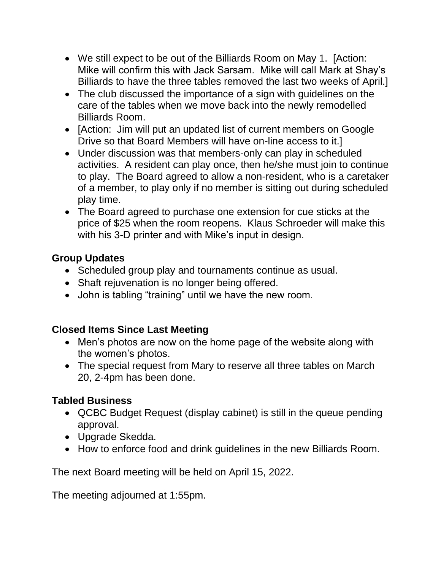- We still expect to be out of the Billiards Room on May 1. [Action: Mike will confirm this with Jack Sarsam. Mike will call Mark at Shay's Billiards to have the three tables removed the last two weeks of April.]
- The club discussed the importance of a sign with guidelines on the care of the tables when we move back into the newly remodelled Billiards Room.
- [Action: Jim will put an updated list of current members on Google Drive so that Board Members will have on-line access to it.]
- Under discussion was that members-only can play in scheduled activities. A resident can play once, then he/she must join to continue to play. The Board agreed to allow a non-resident, who is a caretaker of a member, to play only if no member is sitting out during scheduled play time.
- The Board agreed to purchase one extension for cue sticks at the price of \$25 when the room reopens. Klaus Schroeder will make this with his 3-D printer and with Mike's input in design.

## **Group Updates**

- Scheduled group play and tournaments continue as usual.
- Shaft rejuvenation is no longer being offered.
- John is tabling "training" until we have the new room.

# **Closed Items Since Last Meeting**

- Men's photos are now on the home page of the website along with the women's photos.
- The special request from Mary to reserve all three tables on March 20, 2-4pm has been done.

# **Tabled Business**

- QCBC Budget Request (display cabinet) is still in the queue pending approval.
- Upgrade Skedda.
- How to enforce food and drink guidelines in the new Billiards Room.

The next Board meeting will be held on April 15, 2022.

The meeting adjourned at 1:55pm.